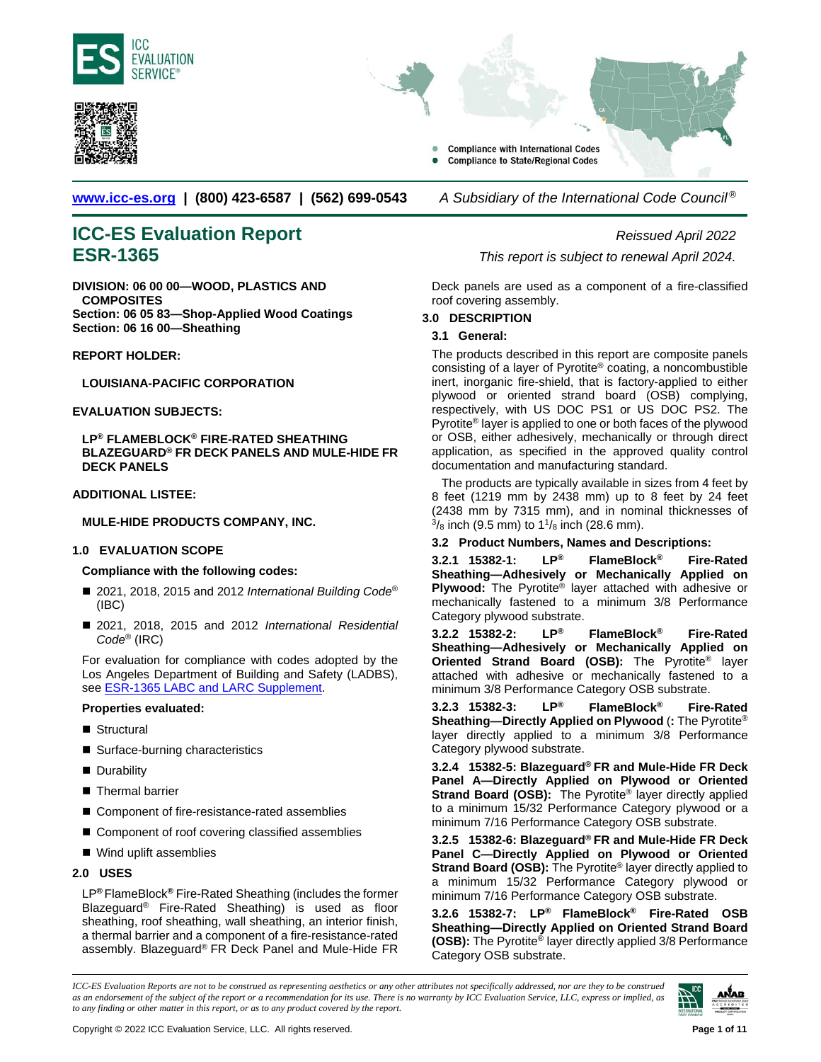<span id="page-0-0"></span>



**Compliance with International Codes Compliance to State/Regional Codes** 

**[www.icc-es.org](http://www.icc-es.org/) | (800) 423-6587 | (562) 699-0543** *A Subsidiary of the International Code Council ®* 

# **ICC-ES Evaluation Report** *Reissued April 2022* **ESR-1365** *This report is subject to renewal April 2024.*

**DIVISION: 06 00 00—WOOD, PLASTICS AND COMPOSITES Section: 06 05 83—Shop-Applied Wood Coatings Section: 06 16 00—Sheathing**

**REPORT HOLDER:**

**LOUISIANA-PACIFIC CORPORATION**

**EVALUATION SUBJECTS:** 

**LP® FLAMEBLOCK® FIRE-RATED SHEATHING BLAZEGUARD® FR DECK PANELS AND MULE-HIDE FR DECK PANELS**

# **ADDITIONAL LISTEE:**

**MULE-HIDE PRODUCTS COMPANY, INC.**

# **1.0 EVALUATION SCOPE**

**Compliance with the following codes:**

- 2021, 2018, 2015 and 2012 *International Building Code<sup>®</sup>* (IBC)
- 2021, 2018, 2015 and 2012 *International Residential Code*® (IRC)

For evaluation for compliance with codes adopted by the Los Angeles Department of Building and Safety (LADBS), see **ESR-1365 LABC and LARC Supplement**.

## **Properties evaluated:**

- Structural
- Surface-burning characteristics
- **Durability**
- Thermal barrier
- Component of fire-resistance-rated assemblies
- Component of roof covering classified assemblies
- Wind uplift assemblies

## **2.0 USES**

LP**®** FlameBlock*®* Fire-Rated Sheathing (includes the former Blazeguard® Fire-Rated Sheathing) is used as floor sheathing, roof sheathing, wall sheathing, an interior finish, a thermal barrier and a component of a fire-resistance-rated assembly. Blazeguard® FR Deck Panel and Mule-Hide FR

Deck panels are used as a component of a fire-classified roof covering assembly.

## **3.0 DESCRIPTION**

# **3.1 General:**

The products described in this report are composite panels consisting of a layer of Pyrotite® coating, a noncombustible inert, inorganic fire-shield, that is factory-applied to either plywood or oriented strand board (OSB) complying, respectively, with US DOC PS1 or US DOC PS2. The Pyrotite<sup>®</sup> layer is applied to one or both faces of the plywood or OSB, either adhesively, mechanically or through direct application, as specified in the approved quality control documentation and manufacturing standard.

The products are typically available in sizes from 4 feet by 8 feet (1219 mm by 2438 mm) up to 8 feet by 24 feet (2438 mm by 7315 mm), and in nominal thicknesses of  $^{3}/_{8}$  inch (9.5 mm) to 1<sup>1</sup>/ $_{8}$  inch (28.6 mm).

**3.2 Product Numbers, Names and Descriptions:**

**3.2.1 15382-1: LP® FlameBlock® Fire-Rated Sheathing—Adhesively or Mechanically Applied on Plywood:** The Pyrotite® layer attached with adhesive or mechanically fastened to a minimum 3/8 Performance Category plywood substrate.

**3.2.2 15382-2: LP® FlameBlock® Fire-Rated Sheathing—Adhesively or Mechanically Applied on Oriented Strand Board (OSB):** The Pyrotite® layer attached with adhesive or mechanically fastened to a minimum 3/8 Performance Category OSB substrate.

**3.2.3 15382-3: LP® FlameBlock® Fire-Rated Sheathing—Directly Applied on Plywood** (**:** The Pyrotite® layer directly applied to a minimum 3/8 Performance Category plywood substrate.

**3.2.4 15382-5: Blazeguard® FR and Mule-Hide FR Deck Panel A—Directly Applied on Plywood or Oriented Strand Board (OSB):** The Pyrotite® layer directly applied to a minimum 15/32 Performance Category plywood or a minimum 7/16 Performance Category OSB substrate.

**3.2.5 15382-6: Blazeguard® FR and Mule-Hide FR Deck Panel C—Directly Applied on Plywood or Oriented Strand Board (OSB):** The Pyrotite<sup>®</sup> layer directly applied to a minimum 15/32 Performance Category plywood or minimum 7/16 Performance Category OSB substrate.

**3.2.6 15382-7: LP® FlameBlock® Fire-Rated OSB Sheathing—Directly Applied on Oriented Strand Board (OSB):** The Pyrotite® layer directly applied 3/8 Performance Category OSB substrate.

*ICC-ES Evaluation Reports are not to be construed as representing aesthetics or any other attributes not specifically addressed, nor are they to be construed as an endorsement of the subject of the report or a recommendation for its use. There is no warranty by ICC Evaluation Service, LLC, express or implied, as to any finding or other matter in this report, or as to any product covered by the report.*

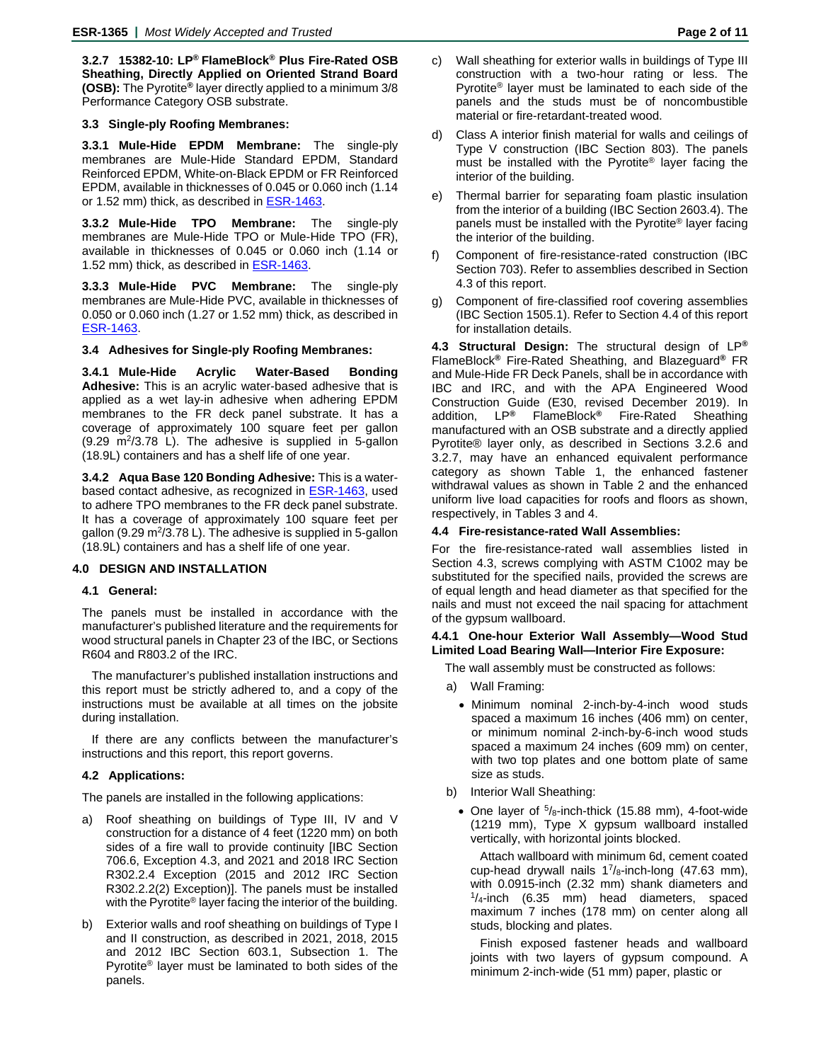**3.2.7 15382-10: LP® FlameBlock® Plus Fire-Rated OSB Sheathing, Directly Applied on Oriented Strand Board (OSB):** The Pyrotite**®** layer directly applied to a minimum 3/8 Performance Category OSB substrate.

# **3.3 Single-ply Roofing Membranes:**

**3.3.1 Mule-Hide EPDM Membrane:** The single-ply membranes are Mule-Hide Standard EPDM, Standard Reinforced EPDM, White-on-Black EPDM or FR Reinforced EPDM, available in thicknesses of 0.045 or 0.060 inch (1.14 or 1.52 mm) thick, as described in [ESR-1463.](https://icc-es.org/report-listing/esr-1463/)

**3.3.2 Mule-Hide TPO Membrane:** The single-ply membranes are Mule-Hide TPO or Mule-Hide TPO (FR), available in thicknesses of 0.045 or 0.060 inch (1.14 or 1.52 mm) thick, as described in [ESR-1463.](https://icc-es.org/report-listing/esr-1463/)

**3.3.3 Mule-Hide PVC Membrane:** The single-ply membranes are Mule-Hide PVC, available in thicknesses of 0.050 or 0.060 inch (1.27 or 1.52 mm) thick, as described in [ESR-1463.](https://icc-es.org/report-listing/esr-1463/)

# **3.4 Adhesives for Single-ply Roofing Membranes:**

**3.4.1 Mule-Hide Acrylic Water-Based Bonding Adhesive:** This is an acrylic water-based adhesive that is applied as a wet lay-in adhesive when adhering EPDM membranes to the FR deck panel substrate. It has a coverage of approximately 100 square feet per gallon  $(9.29 \text{ m}^2/3.78 \text{ L})$ . The adhesive is supplied in 5-gallon (18.9L) containers and has a shelf life of one year.

**3.4.2 Aqua Base 120 Bonding Adhesive:** This is a waterbased contact adhesive, as recognized in [ESR-1463,](https://icc-es.org/report-listing/esr-1463/) used to adhere TPO membranes to the FR deck panel substrate. It has a coverage of approximately 100 square feet per gallon  $(9.29 \text{ m}^2/3.78 \text{ L})$ . The adhesive is supplied in 5-gallon (18.9L) containers and has a shelf life of one year.

# **4.0 DESIGN AND INSTALLATION**

## **4.1 General:**

The panels must be installed in accordance with the manufacturer's published literature and the requirements for wood structural panels in Chapter 23 of the IBC, or Sections R604 and R803.2 of the IRC.

The manufacturer's published installation instructions and this report must be strictly adhered to, and a copy of the instructions must be available at all times on the jobsite during installation.

If there are any conflicts between the manufacturer's instructions and this report, this report governs.

# **4.2 Applications:**

The panels are installed in the following applications:

- a) Roof sheathing on buildings of Type III, IV and V construction for a distance of 4 feet (1220 mm) on both sides of a fire wall to provide continuity [IBC Section 706.6, Exception 4.3, and 2021 and 2018 IRC Section R302.2.4 Exception (2015 and 2012 IRC Section R302.2.2(2) Exception)]. The panels must be installed with the Pyrotite<sup>®</sup> layer facing the interior of the building.
- b) Exterior walls and roof sheathing on buildings of Type I and II construction, as described in 2021, 2018, 2015 and 2012 IBC Section 603.1, Subsection 1. The Pyrotite® layer must be laminated to both sides of the panels.
- c) Wall sheathing for exterior walls in buildings of Type III construction with a two-hour rating or less. The Pyrotite® layer must be laminated to each side of the panels and the studs must be of noncombustible material or fire-retardant-treated wood.
- d) Class A interior finish material for walls and ceilings of Type V construction (IBC Section 803). The panels must be installed with the Pyrotite® layer facing the interior of the building.
- e) Thermal barrier for separating foam plastic insulation from the interior of a building (IBC Section 2603.4). The panels must be installed with the Pyrotite® layer facing the interior of the building.
- f) Component of fire-resistance-rated construction (IBC Section 703). Refer to assemblies described in Section 4.3 of this report.
- g) Component of fire-classified roof covering assemblies (IBC Section 1505.1). Refer to Section 4.4 of this report for installation details.

**4.3 Structural Design:** The structural design of LP**®** FlameBlock**®** Fire-Rated Sheathing, and Blazeguard**®** FR and Mule-Hide FR Deck Panels, shall be in accordance with IBC and IRC, and with the APA Engineered Wood Construction Guide (E30, revised December 2019). In addition, LP**®** FlameBlock**®** Fire-Rated Sheathing manufactured with an OSB substrate and a directly applied Pyrotite® layer only, as described in Sections 3.2.6 and 3.2.7, may have an enhanced equivalent performance category as shown Table 1, the enhanced fastener withdrawal values as shown in Table 2 and the enhanced uniform live load capacities for roofs and floors as shown, respectively, in Tables 3 and 4.

# **4.4 Fire-resistance-rated Wall Assemblies:**

For the fire-resistance-rated wall assemblies listed in Section 4.3, screws complying with ASTM C1002 may be substituted for the specified nails, provided the screws are of equal length and head diameter as that specified for the nails and must not exceed the nail spacing for attachment of the gypsum wallboard.

# **4.4.1 One-hour Exterior Wall Assembly—Wood Stud Limited Load Bearing Wall—Interior Fire Exposure:**

The wall assembly must be constructed as follows:

- a) Wall Framing:
	- Minimum nominal 2-inch-by-4-inch wood studs spaced a maximum 16 inches (406 mm) on center, or minimum nominal 2-inch-by-6-inch wood studs spaced a maximum 24 inches (609 mm) on center, with two top plates and one bottom plate of same size as studs.
- b) Interior Wall Sheathing:
	- One layer of  $5/8$ -inch-thick (15.88 mm), 4-foot-wide (1219 mm), Type X gypsum wallboard installed vertically, with horizontal joints blocked.

Attach wallboard with minimum 6d, cement coated cup-head drywall nails  $1^{7}/8$ -inch-long (47.63 mm), with 0.0915-inch (2.32 mm) shank diameters and  $1/4$ -inch (6.35 mm) head diameters, spaced maximum 7 inches (178 mm) on center along all studs, blocking and plates.

Finish exposed fastener heads and wallboard joints with two layers of gypsum compound. A minimum 2-inch-wide (51 mm) paper, plastic or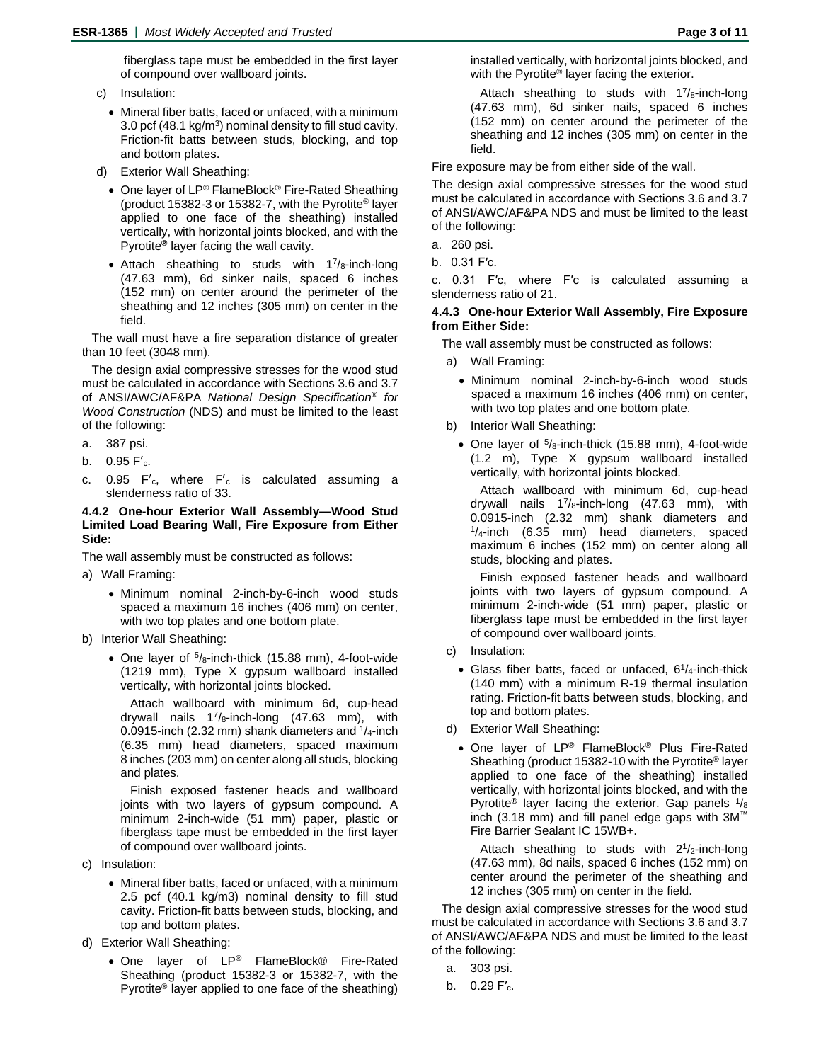fiberglass tape must be embedded in the first layer of compound over wallboard joints.

- c) Insulation:
	- Mineral fiber batts, faced or unfaced, with a minimum 3.0 pcf (48.1 kg/m<sup>3</sup>) nominal density to fill stud cavity. Friction-fit batts between studs, blocking, and top and bottom plates.
- d) Exterior Wall Sheathing:
	- One layer of LP® FlameBlock® Fire-Rated Sheathing (product 15382-3 or 15382-7, with the Pyrotite® layer applied to one face of the sheathing) installed vertically, with horizontal joints blocked, and with the Pyrotite**®** layer facing the wall cavity.
	- Attach sheathing to studs with  $1^{7}/_{8}$ -inch-long (47.63 mm), 6d sinker nails, spaced 6 inches (152 mm) on center around the perimeter of the sheathing and 12 inches (305 mm) on center in the field.

The wall must have a fire separation distance of greater than 10 feet (3048 mm).

The design axial compressive stresses for the wood stud must be calculated in accordance with Sections 3.6 and 3.7 of ANSI/AWC/AF&PA *National Design Specification*® *for Wood Construction* (NDS) and must be limited to the least of the following:

- a. 387 psi.
- b.  $0.95 F_c$ .
- c. 0.95 F′c, where F′<sup>c</sup> is calculated assuming a slenderness ratio of 33.

## **4.4.2 One-hour Exterior Wall Assembly—Wood Stud Limited Load Bearing Wall, Fire Exposure from Either Side:**

The wall assembly must be constructed as follows:

- a) Wall Framing:
	- Minimum nominal 2-inch-by-6-inch wood studs spaced a maximum 16 inches (406 mm) on center, with two top plates and one bottom plate.
- b) Interior Wall Sheathing:
	- One layer of  $5/8$ -inch-thick (15.88 mm), 4-foot-wide (1219 mm), Type X gypsum wallboard installed vertically, with horizontal joints blocked.

Attach wallboard with minimum 6d, cup-head drywall nails 17/8-inch-long (47.63 mm), with 0.0915-inch (2.32 mm) shank diameters and  $1/4$ -inch (6.35 mm) head diameters, spaced maximum 8 inches (203 mm) on center along all studs, blocking and plates.

Finish exposed fastener heads and wallboard joints with two layers of gypsum compound. A minimum 2-inch-wide (51 mm) paper, plastic or fiberglass tape must be embedded in the first layer of compound over wallboard joints.

- c) Insulation:
	- Mineral fiber batts, faced or unfaced, with a minimum 2.5 pcf (40.1 kg/m3) nominal density to fill stud cavity. Friction-fit batts between studs, blocking, and top and bottom plates.
- d) Exterior Wall Sheathing:
	- One layer of LP® FlameBlock® Fire-Rated Sheathing (product 15382-3 or 15382-7, with the Pyrotite® layer applied to one face of the sheathing)

installed vertically, with horizontal joints blocked, and with the Pyrotite<sup>®</sup> layer facing the exterior.

Attach sheathing to studs with  $17\frac{1}{8}$ -inch-long (47.63 mm), 6d sinker nails, spaced 6 inches (152 mm) on center around the perimeter of the sheathing and 12 inches (305 mm) on center in the field.

Fire exposure may be from either side of the wall.

The design axial compressive stresses for the wood stud must be calculated in accordance with Sections 3.6 and 3.7 of ANSI/AWC/AF&PA NDS and must be limited to the least of the following:

- a. 260 psi.
- b. 0.31 F′c.

c. 0.31 F′c, where F′c is calculated assuming a slenderness ratio of 21.

# **4.4.3 One-hour Exterior Wall Assembly, Fire Exposure from Either Side:**

The wall assembly must be constructed as follows:

- a) Wall Framing:
	- Minimum nominal 2-inch-by-6-inch wood studs spaced a maximum 16 inches (406 mm) on center, with two top plates and one bottom plate.
- b) Interior Wall Sheathing:
	- One layer of  $5/8$ -inch-thick (15.88 mm), 4-foot-wide (1.2 m), Type X gypsum wallboard installed vertically, with horizontal joints blocked.

Attach wallboard with minimum 6d, cup-head drywall nails  $17/8$ -inch-long (47.63 mm), with 0.0915-inch (2.32 mm) shank diameters and  $1/4$ -inch (6.35 mm) head diameters, spaced maximum 6 inches (152 mm) on center along all studs, blocking and plates.

Finish exposed fastener heads and wallboard joints with two layers of gypsum compound. A minimum 2-inch-wide (51 mm) paper, plastic or fiberglass tape must be embedded in the first layer of compound over wallboard joints.

- c) Insulation:
	- Glass fiber batts, faced or unfaced,  $6^{1}/4$ -inch-thick (140 mm) with a minimum R-19 thermal insulation rating. Friction-fit batts between studs, blocking, and top and bottom plates.
- d) Exterior Wall Sheathing:
	- One layer of LP® FlameBlock® Plus Fire-Rated Sheathing (product 15382-10 with the Pyrotite® layer applied to one face of the sheathing) installed vertically, with horizontal joints blocked, and with the Pyrotite**®** layer facing the exterior. Gap panels 1/8 inch (3.18 mm) and fill panel edge gaps with 3M™ Fire Barrier Sealant IC 15WB+.

Attach sheathing to studs with  $2^{1}/2$ -inch-long (47.63 mm), 8d nails, spaced 6 inches (152 mm) on center around the perimeter of the sheathing and 12 inches (305 mm) on center in the field.

The design axial compressive stresses for the wood stud must be calculated in accordance with Sections 3.6 and 3.7 of ANSI/AWC/AF&PA NDS and must be limited to the least of the following:

- a. 303 psi.
- b.  $0.29 F_c$ .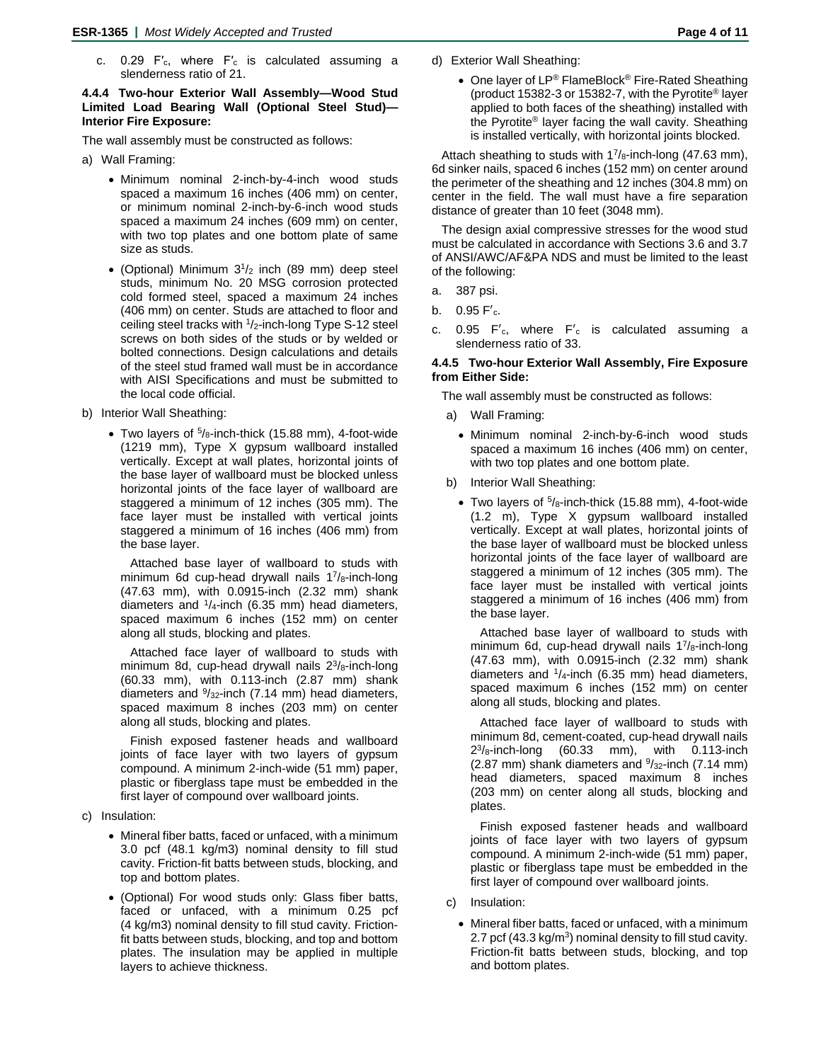c. 0.29 F′c, where F′<sup>c</sup> is calculated assuming a slenderness ratio of 21.

# **4.4.4 Two-hour Exterior Wall Assembly—Wood Stud Limited Load Bearing Wall (Optional Steel Stud)— Interior Fire Exposure:**

The wall assembly must be constructed as follows:

- a) Wall Framing:
	- Minimum nominal 2-inch-by-4-inch wood studs spaced a maximum 16 inches (406 mm) on center, or minimum nominal 2-inch-by-6-inch wood studs spaced a maximum 24 inches (609 mm) on center, with two top plates and one bottom plate of same size as studs.
	- (Optional) Minimum  $3^{1}/2$  inch (89 mm) deep steel studs, minimum No. 20 MSG corrosion protected cold formed steel, spaced a maximum 24 inches (406 mm) on center. Studs are attached to floor and ceiling steel tracks with 1/2-inch-long Type S-12 steel screws on both sides of the studs or by welded or bolted connections. Design calculations and details of the steel stud framed wall must be in accordance with AISI Specifications and must be submitted to the local code official.
- b) Interior Wall Sheathing:
	- Two layers of  $5/8$ -inch-thick (15.88 mm), 4-foot-wide (1219 mm), Type X gypsum wallboard installed vertically. Except at wall plates, horizontal joints of the base layer of wallboard must be blocked unless horizontal joints of the face layer of wallboard are staggered a minimum of 12 inches (305 mm). The face layer must be installed with vertical joints staggered a minimum of 16 inches (406 mm) from the base layer.

Attached base layer of wallboard to studs with minimum 6d cup-head drywall nails  $1^{7}/_{8}$ -inch-long (47.63 mm), with 0.0915-inch (2.32 mm) shank diameters and  $1/4$ -inch (6.35 mm) head diameters, spaced maximum 6 inches (152 mm) on center along all studs, blocking and plates.

Attached face layer of wallboard to studs with minimum 8d, cup-head drywall nails  $2^3/s$ -inch-long (60.33 mm), with 0.113-inch (2.87 mm) shank diameters and  $\frac{9}{32}$ -inch (7.14 mm) head diameters, spaced maximum 8 inches (203 mm) on center along all studs, blocking and plates.

Finish exposed fastener heads and wallboard joints of face layer with two layers of gypsum compound. A minimum 2-inch-wide (51 mm) paper, plastic or fiberglass tape must be embedded in the first layer of compound over wallboard joints.

- c) Insulation:
	- Mineral fiber batts, faced or unfaced, with a minimum 3.0 pcf (48.1 kg/m3) nominal density to fill stud cavity. Friction-fit batts between studs, blocking, and top and bottom plates.
	- (Optional) For wood studs only: Glass fiber batts, faced or unfaced, with a minimum 0.25 pcf (4 kg/m3) nominal density to fill stud cavity. Frictionfit batts between studs, blocking, and top and bottom plates. The insulation may be applied in multiple layers to achieve thickness.
- d) Exterior Wall Sheathing:
	- One layer of LP® FlameBlock® Fire-Rated Sheathing (product 15382-3 or 15382-7, with the Pyrotite® layer applied to both faces of the sheathing) installed with the Pyrotite® layer facing the wall cavity. Sheathing is installed vertically, with horizontal joints blocked.

Attach sheathing to studs with  $1^{7}/_8$ -inch-long (47.63 mm), 6d sinker nails, spaced 6 inches (152 mm) on center around the perimeter of the sheathing and 12 inches (304.8 mm) on center in the field. The wall must have a fire separation distance of greater than 10 feet (3048 mm).

The design axial compressive stresses for the wood stud must be calculated in accordance with Sections 3.6 and 3.7 of ANSI/AWC/AF&PA NDS and must be limited to the least of the following:

- a. 387 psi.
- b.  $0.95 F_c$ .
- c.  $0.95$  F' $c$ , where F' $c$  is calculated assuming a slenderness ratio of 33.

## **4.4.5 Two-hour Exterior Wall Assembly, Fire Exposure from Either Side:**

The wall assembly must be constructed as follows:

- a) Wall Framing:
	- Minimum nominal 2-inch-by-6-inch wood studs spaced a maximum 16 inches (406 mm) on center, with two top plates and one bottom plate.
- b) Interior Wall Sheathing:
	- Two layers of  $\frac{5}{8}$ -inch-thick (15.88 mm), 4-foot-wide (1.2 m), Type X gypsum wallboard installed vertically. Except at wall plates, horizontal joints of the base layer of wallboard must be blocked unless horizontal joints of the face layer of wallboard are staggered a minimum of 12 inches (305 mm). The face layer must be installed with vertical joints staggered a minimum of 16 inches (406 mm) from the base layer.

Attached base layer of wallboard to studs with minimum 6d, cup-head drywall nails  $1^{7}/_8$ -inch-long (47.63 mm), with 0.0915-inch (2.32 mm) shank diameters and  $1/4$ -inch (6.35 mm) head diameters, spaced maximum 6 inches (152 mm) on center along all studs, blocking and plates.

Attached face layer of wallboard to studs with minimum 8d, cement-coated, cup-head drywall nails  $2^{3}/_8$ -inch-long (60.33 mm), with 0.113-inch (2.87 mm) shank diameters and  $\frac{9}{32}$ -inch (7.14 mm) head diameters, spaced maximum 8 inches (203 mm) on center along all studs, blocking and plates.

Finish exposed fastener heads and wallboard joints of face layer with two layers of gypsum compound. A minimum 2-inch-wide (51 mm) paper, plastic or fiberglass tape must be embedded in the first layer of compound over wallboard joints.

- c) Insulation:
	- Mineral fiber batts, faced or unfaced, with a minimum 2.7 pcf (43.3 kg/m<sup>3</sup>) nominal density to fill stud cavity. Friction-fit batts between studs, blocking, and top and bottom plates.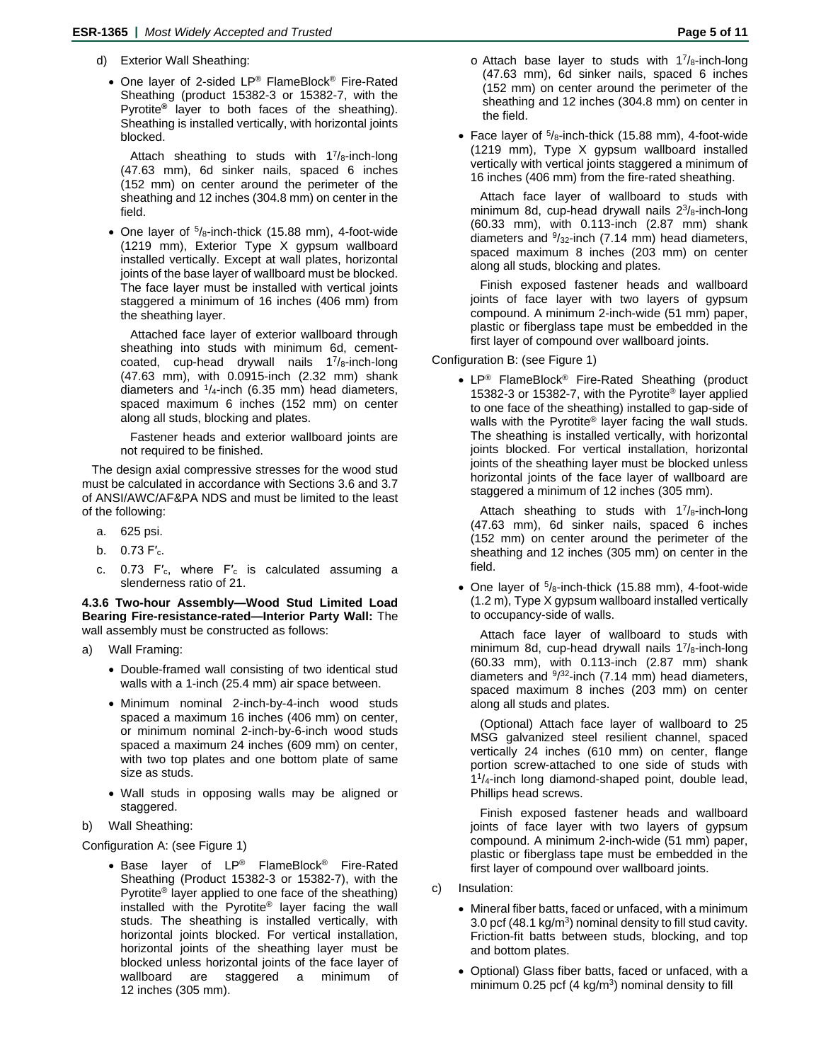- d) Exterior Wall Sheathing:
	- One layer of 2-sided LP® FlameBlock® Fire-Rated Sheathing (product 15382-3 or 15382-7, with the Pyrotite**®** layer to both faces of the sheathing). Sheathing is installed vertically, with horizontal joints blocked.

Attach sheathing to studs with  $1^7/s$ -inch-long (47.63 mm), 6d sinker nails, spaced 6 inches (152 mm) on center around the perimeter of the sheathing and 12 inches (304.8 mm) on center in the field.

• One layer of  $5/8$ -inch-thick (15.88 mm), 4-foot-wide (1219 mm), Exterior Type X gypsum wallboard installed vertically. Except at wall plates, horizontal joints of the base layer of wallboard must be blocked. The face layer must be installed with vertical joints staggered a minimum of 16 inches (406 mm) from the sheathing layer.

Attached face layer of exterior wallboard through sheathing into studs with minimum 6d, cementcoated, cup-head drywall nails  $1^{7}/_{8}$ -inch-long (47.63 mm), with 0.0915-inch (2.32 mm) shank diameters and  $1/4$ -inch (6.35 mm) head diameters, spaced maximum 6 inches (152 mm) on center along all studs, blocking and plates.

Fastener heads and exterior wallboard joints are not required to be finished.

The design axial compressive stresses for the wood stud must be calculated in accordance with Sections 3.6 and 3.7 of ANSI/AWC/AF&PA NDS and must be limited to the least of the following:

- a. 625 psi.
- b.  $0.73 F_c$ .
- c. 0.73 F′c, where F′<sup>c</sup> is calculated assuming a slenderness ratio of 21.

**4.3.6 Two-hour Assembly—Wood Stud Limited Load Bearing Fire-resistance-rated—Interior Party Wall:** The wall assembly must be constructed as follows:

- a) Wall Framing:
	- Double-framed wall consisting of two identical stud walls with a 1-inch (25.4 mm) air space between.
	- Minimum nominal 2-inch-by-4-inch wood studs spaced a maximum 16 inches (406 mm) on center, or minimum nominal 2-inch-by-6-inch wood studs spaced a maximum 24 inches (609 mm) on center, with two top plates and one bottom plate of same size as studs.
	- Wall studs in opposing walls may be aligned or staggered.
- b) Wall Sheathing:

Configuration A: (see Figure 1)

• Base layer of LP® FlameBlock® Fire-Rated Sheathing (Product 15382-3 or 15382-7), with the Pyrotite® layer applied to one face of the sheathing) installed with the Pyrotite® layer facing the wall studs. The sheathing is installed vertically, with horizontal joints blocked. For vertical installation, horizontal joints of the sheathing layer must be blocked unless horizontal joints of the face layer of wallboard are staggered a minimum of 12 inches (305 mm).

- $\circ$  Attach base layer to studs with 1<sup>7</sup>/<sub>8</sub>-inch-long (47.63 mm), 6d sinker nails, spaced 6 inches (152 mm) on center around the perimeter of the sheathing and 12 inches (304.8 mm) on center in the field.
- Face layer of  $5/8$ -inch-thick (15.88 mm), 4-foot-wide (1219 mm), Type X gypsum wallboard installed vertically with vertical joints staggered a minimum of 16 inches (406 mm) from the fire-rated sheathing.

Attach face layer of wallboard to studs with minimum 8d, cup-head drywall nails  $2^{3}/_{8}$ -inch-long (60.33 mm), with 0.113-inch (2.87 mm) shank diameters and  $\frac{9}{32}$ -inch (7.14 mm) head diameters, spaced maximum 8 inches (203 mm) on center along all studs, blocking and plates.

Finish exposed fastener heads and wallboard joints of face layer with two layers of gypsum compound. A minimum 2-inch-wide (51 mm) paper, plastic or fiberglass tape must be embedded in the first layer of compound over wallboard joints.

Configuration B: (see Figure 1)

• LP® FlameBlock® Fire-Rated Sheathing (product 15382-3 or 15382-7, with the Pyrotite® layer applied to one face of the sheathing) installed to gap-side of walls with the Pyrotite<sup>®</sup> layer facing the wall studs. The sheathing is installed vertically, with horizontal joints blocked. For vertical installation, horizontal joints of the sheathing layer must be blocked unless horizontal joints of the face layer of wallboard are staggered a minimum of 12 inches (305 mm).

Attach sheathing to studs with  $17\frac{1}{8}$ -inch-long (47.63 mm), 6d sinker nails, spaced 6 inches (152 mm) on center around the perimeter of the sheathing and 12 inches (305 mm) on center in the field.

• One layer of  $5/8$ -inch-thick (15.88 mm), 4-foot-wide (1.2 m), Type X gypsum wallboard installed vertically to occupancy-side of walls.

Attach face layer of wallboard to studs with minimum 8d, cup-head drywall nails  $17\frac{s}{s}$ -inch-long (60.33 mm), with 0.113-inch (2.87 mm) shank diameters and <sup>9/32</sup>-inch (7.14 mm) head diameters, spaced maximum 8 inches (203 mm) on center along all studs and plates.

(Optional) Attach face layer of wallboard to 25 MSG galvanized steel resilient channel, spaced vertically 24 inches (610 mm) on center, flange portion screw-attached to one side of studs with 11/4-inch long diamond-shaped point, double lead, Phillips head screws.

Finish exposed fastener heads and wallboard joints of face layer with two layers of gypsum compound. A minimum 2-inch-wide (51 mm) paper, plastic or fiberglass tape must be embedded in the first layer of compound over wallboard joints.

- c) Insulation:
	- Mineral fiber batts, faced or unfaced, with a minimum 3.0 pcf (48.1 kg/m<sup>3</sup>) nominal density to fill stud cavity. Friction-fit batts between studs, blocking, and top and bottom plates.
	- Optional) Glass fiber batts, faced or unfaced, with a minimum 0.25 pcf  $(4 \text{ kg/m}^3)$  nominal density to fill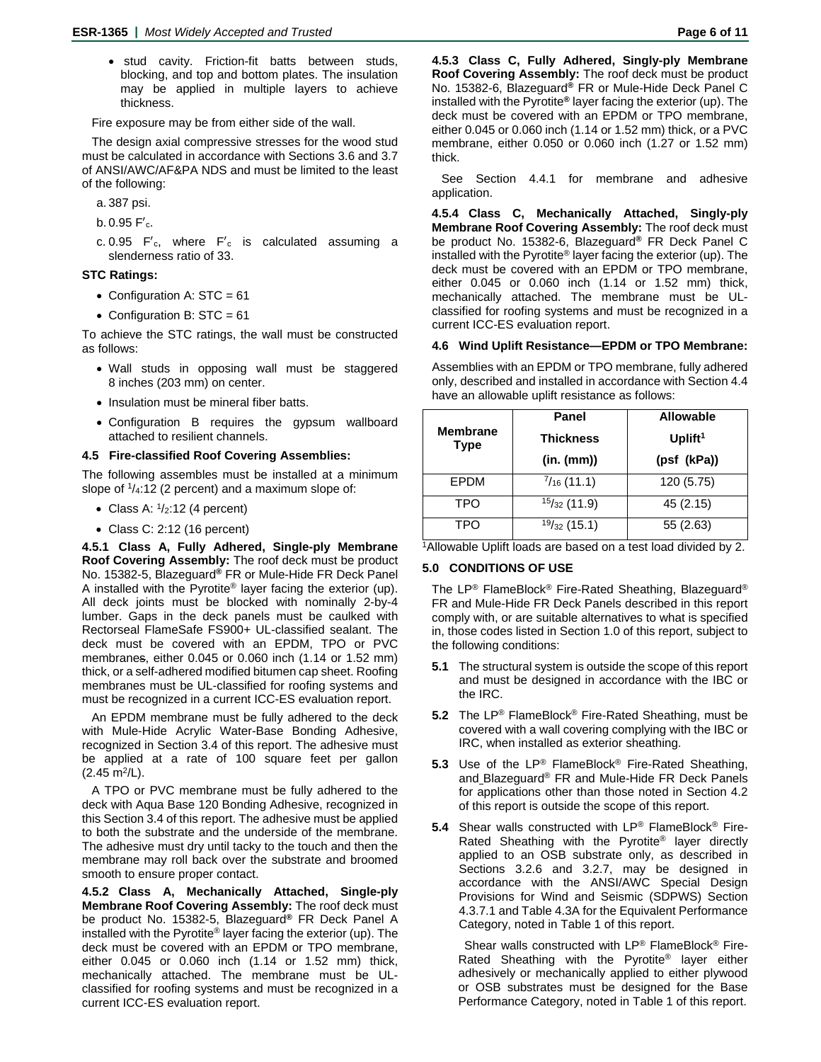• stud cavity. Friction-fit batts between studs, blocking, and top and bottom plates. The insulation may be applied in multiple layers to achieve thickness.

Fire exposure may be from either side of the wall.

The design axial compressive stresses for the wood stud must be calculated in accordance with Sections 3.6 and 3.7 of ANSI/AWC/AF&PA NDS and must be limited to the least of the following:

a. 387 psi.

- b.  $0.95 F'$ c.
- c.  $0.95$  F'c, where F'c is calculated assuming a slenderness ratio of 33.

#### **STC Ratings:**

- Configuration A: STC = 61
- Configuration B:  $STC = 61$

To achieve the STC ratings, the wall must be constructed as follows:

- Wall studs in opposing wall must be staggered 8 inches (203 mm) on center.
- Insulation must be mineral fiber batts.
- Configuration B requires the gypsum wallboard attached to resilient channels.

#### **4.5 Fire-classified Roof Covering Assemblies:**

The following assembles must be installed at a minimum slope of  $\frac{1}{4}$ :12 (2 percent) and a maximum slope of:

- Class A:  $1/2$ :12 (4 percent)
- Class C: 2:12 (16 percent)

**4.5.1 Class A, Fully Adhered, Single-ply Membrane Roof Covering Assembly:** The roof deck must be product No. 15382-5, Blazeguard**®** FR or Mule-Hide FR Deck Panel A installed with the Pyrotite® layer facing the exterior (up). All deck joints must be blocked with nominally 2-by-4 lumber. Gaps in the deck panels must be caulked with Rectorseal FlameSafe FS900+ UL-classified sealant. The deck must be covered with an EPDM, TPO or PVC membranes, either 0.045 or 0.060 inch (1.14 or 1.52 mm) thick, or a self-adhered modified bitumen cap sheet. Roofing membranes must be UL-classified for roofing systems and must be recognized in a current ICC-ES evaluation report.

An EPDM membrane must be fully adhered to the deck with Mule-Hide Acrylic Water-Base Bonding Adhesive, recognized in Section 3.4 of this report. The adhesive must be applied at a rate of 100 square feet per gallon  $(2.45 \text{ m}^2/\text{L})$ .

A TPO or PVC membrane must be fully adhered to the deck with Aqua Base 120 Bonding Adhesive, recognized in this Section 3.4 of this report. The adhesive must be applied to both the substrate and the underside of the membrane. The adhesive must dry until tacky to the touch and then the membrane may roll back over the substrate and broomed smooth to ensure proper contact.

**4.5.2 Class A, Mechanically Attached, Single-ply Membrane Roof Covering Assembly:** The roof deck must be product No. 15382-5, Blazeguard**®** FR Deck Panel A installed with the Pyrotite® layer facing the exterior (up). The deck must be covered with an EPDM or TPO membrane, either 0.045 or 0.060 inch (1.14 or 1.52 mm) thick, mechanically attached. The membrane must be ULclassified for roofing systems and must be recognized in a current ICC-ES evaluation report.

**4.5.3 Class C, Fully Adhered, Singly-ply Membrane Roof Covering Assembly:** The roof deck must be product No. 15382-6, Blazeguard**®** FR or Mule-Hide Deck Panel C installed with the Pyrotite**®** layer facing the exterior (up). The deck must be covered with an EPDM or TPO membrane, either 0.045 or 0.060 inch (1.14 or 1.52 mm) thick, or a PVC membrane, either 0.050 or 0.060 inch (1.27 or 1.52 mm) thick.

See Section 4.4.1 for membrane and adhesive application.

**4.5.4 Class C, Mechanically Attached, Singly-ply Membrane Roof Covering Assembly:** The roof deck must be product No. 15382-6, Blazeguard**®** FR Deck Panel C installed with the Pyrotite® layer facing the exterior (up). The deck must be covered with an EPDM or TPO membrane, either 0.045 or 0.060 inch (1.14 or 1.52 mm) thick, mechanically attached. The membrane must be ULclassified for roofing systems and must be recognized in a current ICC-ES evaluation report.

# **4.6 Wind Uplift Resistance—EPDM or TPO Membrane:**

Assemblies with an EPDM or TPO membrane, fully adhered only, described and installed in accordance with Section 4.4 have an allowable uplift resistance as follows:

|                                | Panel                 | Allowable           |  |  |
|--------------------------------|-----------------------|---------------------|--|--|
| <b>Membrane</b><br><b>Type</b> | <b>Thickness</b>      | Uplift <sup>1</sup> |  |  |
|                                | (in. (mm))            | (psf (kPa))         |  |  |
| EPDM                           | $\frac{7}{16}$ (11.1) | 120 (5.75)          |  |  |
| <b>TPO</b>                     | 15/32(11.9)           | 45 (2.15)           |  |  |
| TPO                            | 19/32(15.1)           | 55 (2.63)           |  |  |

<sup>1</sup>Allowable Uplift loads are based on a test load divided by 2.

## **5.0 CONDITIONS OF USE**

The LP® FlameBlock® Fire-Rated Sheathing, Blazeguard® FR and Mule-Hide FR Deck Panels described in this report comply with, or are suitable alternatives to what is specified in, those codes listed in Section 1.0 of this report, subject to the following conditions:

- **5.1** The structural system is outside the scope of this report and must be designed in accordance with the IBC or the IRC.
- **5.2** The LP® FlameBlock® Fire-Rated Sheathing, must be covered with a wall covering complying with the IBC or IRC, when installed as exterior sheathing.
- **5.3** Use of the LP® FlameBlock® Fire-Rated Sheathing, and Blazeguard® FR and Mule-Hide FR Deck Panels for applications other than those noted in Section 4.2 of this report is outside the scope of this report.
- **5.4** Shear walls constructed with LP® FlameBlock® Fire-Rated Sheathing with the Pyrotite<sup>®</sup> layer directly applied to an OSB substrate only, as described in Sections 3.2.6 and 3.2.7, may be designed in accordance with the ANSI/AWC Special Design Provisions for Wind and Seismic (SDPWS) Section 4.3.7.1 and Table 4.3A for the Equivalent Performance Category, noted in Table 1 of this report.

Shear walls constructed with LP® FlameBlock® Fire-Rated Sheathing with the Pyrotite® layer either adhesively or mechanically applied to either plywood or OSB substrates must be designed for the Base Performance Category, noted in Table 1 of this report.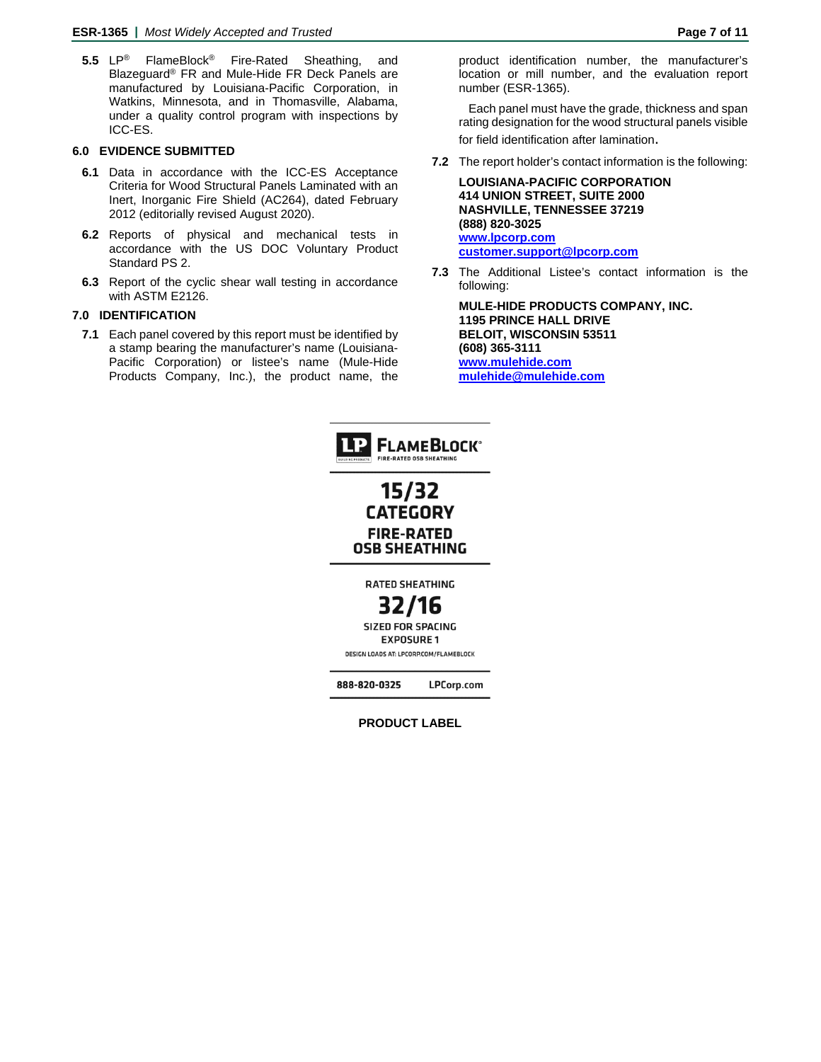**5.5** LP® FlameBlock® Fire-Rated Sheathing, and Blazeguard® FR and Mule-Hide FR Deck Panels are manufactured by Louisiana-Pacific Corporation, in Watkins, Minnesota, and in Thomasville, Alabama, under a quality control program with inspections by ICC-ES.

### **6.0 EVIDENCE SUBMITTED**

- **6.1** Data in accordance with the ICC-ES Acceptance Criteria for Wood Structural Panels Laminated with an Inert, Inorganic Fire Shield (AC264), dated February 2012 (editorially revised August 2020).
- **6.2** Reports of physical and mechanical tests in accordance with the US DOC Voluntary Product Standard PS 2.
- **6.3** Report of the cyclic shear wall testing in accordance with ASTM E2126.

# **7.0 IDENTIFICATION**

**7.1** Each panel covered by this report must be identified by a stamp bearing the manufacturer's name (Louisiana-Pacific Corporation) or listee's name (Mule-Hide Products Company, Inc.), the product name, the

product identification number, the manufacturer's location or mill number, and the evaluation report number (ESR-1365).

Each panel must have the grade, thickness and span rating designation for the wood structural panels visible for field identification after lamination.

**7.2** The report holder's contact information is the following:

**LOUISIANA-PACIFIC CORPORATION 414 UNION STREET, SUITE 2000 NASHVILLE, TENNESSEE 37219 (888) 820-3025 [www.lpcorp.com](http://www.lpcorp.com/) [customer.support@lpcorp.com](mailto:customer.support@lpcorp.com)**

**7.3** The Additional Listee's contact information is the following:

**MULE-HIDE PRODUCTS COMPANY, INC. 1195 PRINCE HALL DRIVE BELOIT, WISCONSIN 53511 (608) 365-3111 [www.mulehide.com](http://www.mulehide.com/) [mulehide@mulehide.com](mailto:mulehide@mulehide.com)**



**PRODUCT LABEL**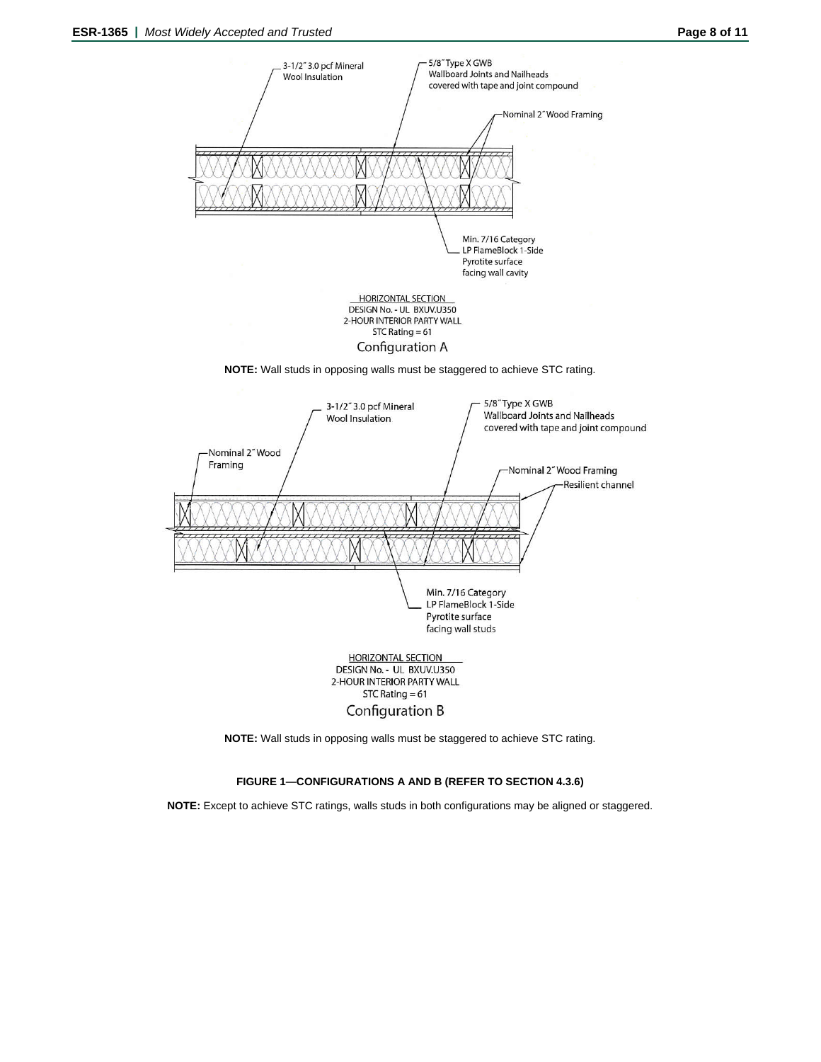

**NOTE:** Wall studs in opposing walls must be staggered to achieve STC rating.

# **FIGURE 1—CONFIGURATIONS A AND B (REFER TO SECTION 4.3.6)**

**NOTE:** Except to achieve STC ratings, walls studs in both configurations may be aligned or staggered.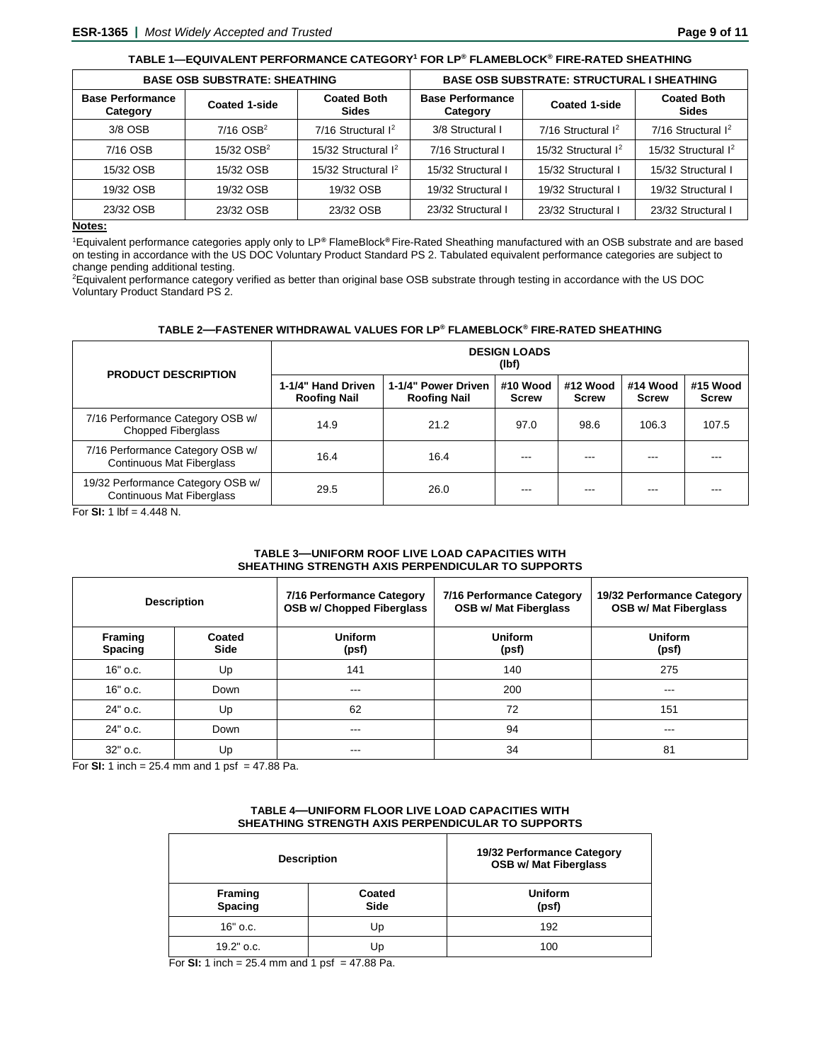# **TABLE 1—EQUIVALENT PERFORMANCE CATEGORY1 FOR LP® FLAMEBLOCK® FIRE-RATED SHEATHING**

| <b>BASE OSB SUBSTRATE: SHEATHING</b> |                          |                                    | <b>BASE OSB SUBSTRATE: STRUCTURAL I SHEATHING</b> |                         |                                    |
|--------------------------------------|--------------------------|------------------------------------|---------------------------------------------------|-------------------------|------------------------------------|
| <b>Base Performance</b><br>Category  | <b>Coated 1-side</b>     | <b>Coated Both</b><br><b>Sides</b> | <b>Base Performance</b><br>Category               | <b>Coated 1-side</b>    | <b>Coated Both</b><br><b>Sides</b> |
| $3/8$ OSB                            | $7/16$ OSB <sup>2</sup>  | $7/16$ Structural $1^2$            | 3/8 Structural I                                  | $7/16$ Structural $1^2$ | $7/16$ Structural $1^2$            |
| 7/16 OSB                             | $15/32$ OSB <sup>2</sup> | 15/32 Structural $I^2$             | 7/16 Structural I                                 | 15/32 Structural $I^2$  | 15/32 Structural $I^2$             |
| 15/32 OSB                            | 15/32 OSB                | 15/32 Structural $I^2$             | 15/32 Structural I                                | 15/32 Structural I      | 15/32 Structural I                 |
| 19/32 OSB                            | 19/32 OSB                | 19/32 OSB                          | 19/32 Structural I                                | 19/32 Structural I      | 19/32 Structural I                 |
| 23/32 OSB                            | 23/32 OSB                | 23/32 OSB                          | 23/32 Structural I                                | 23/32 Structural I      | 23/32 Structural I                 |

# **Notes:**

1 Equivalent performance categories apply only to LP*®* FlameBlock*®* Fire-Rated Sheathing manufactured with an OSB substrate and are based on testing in accordance with the US DOC Voluntary Product Standard PS 2. Tabulated equivalent performance categories are subject to change pending additional testing.

2 Equivalent performance category verified as better than original base OSB substrate through testing in accordance with the US DOC Voluntary Product Standard PS 2.

## **TABLE 2—FASTENER WITHDRAWAL VALUES FOR LP® FLAMEBLOCK® FIRE-RATED SHEATHING**

| <b>PRODUCT DESCRIPTION</b>                                            | <b>DESIGN LOADS</b><br>(lbf)              |                                            |                          |                          |                          |                          |
|-----------------------------------------------------------------------|-------------------------------------------|--------------------------------------------|--------------------------|--------------------------|--------------------------|--------------------------|
|                                                                       | 1-1/4" Hand Driven<br><b>Roofing Nail</b> | 1-1/4" Power Driven<br><b>Roofing Nail</b> | #10 Wood<br><b>Screw</b> | #12 Wood<br><b>Screw</b> | #14 Wood<br><b>Screw</b> | #15 Wood<br><b>Screw</b> |
| 7/16 Performance Category OSB w/<br><b>Chopped Fiberglass</b>         | 14.9                                      | 21.2                                       | 97.0                     | 98.6                     | 106.3                    | 107.5                    |
| 7/16 Performance Category OSB w/<br><b>Continuous Mat Fiberglass</b>  | 16.4                                      | 16.4                                       |                          |                          |                          |                          |
| 19/32 Performance Category OSB w/<br><b>Continuous Mat Fiberglass</b> | 29.5                                      | 26.0                                       |                          |                          |                          |                          |

For **SI:** 1 lbf = 4.448 N.

# **TABLE 3—UNIFORM ROOF LIVE LOAD CAPACITIES WITH SHEATHING STRENGTH AXIS PERPENDICULAR TO SUPPORTS**

|                           | <b>Description</b>    | 7/16 Performance Category<br>7/16 Performance Category<br>OSB w/ Chopped Fiberglass<br><b>OSB w/ Mat Fiberglass</b> |                         | 19/32 Performance Category<br><b>OSB w/ Mat Fiberglass</b> |  |
|---------------------------|-----------------------|---------------------------------------------------------------------------------------------------------------------|-------------------------|------------------------------------------------------------|--|
| Framing<br><b>Spacing</b> | Coated<br><b>Side</b> | <b>Uniform</b><br>(psf)                                                                                             | <b>Uniform</b><br>(psf) | <b>Uniform</b><br>(psf)                                    |  |
| $16"$ o.c.                | Up                    | 141                                                                                                                 | 140                     | 275                                                        |  |
| $16"$ o.c.                | Down                  | $--$                                                                                                                | 200                     | $---$                                                      |  |
| 24" o.c.                  | Up                    | 62                                                                                                                  | 72                      | 151                                                        |  |
| 24" o.c.                  | Down                  | $-- -$                                                                                                              | 94                      | ---                                                        |  |
| 32" o.c.                  | Up                    | $- - -$                                                                                                             | 34                      | 81                                                         |  |

For **SI:** 1 inch = 25.4 mm and 1 psf = 47.88 Pa.

## **TABLE 4—UNIFORM FLOOR LIVE LOAD CAPACITIES WITH SHEATHING STRENGTH AXIS PERPENDICULAR TO SUPPORTS**

| <b>Description</b>        |                       | 19/32 Performance Category<br><b>OSB w/ Mat Fiberglass</b> |  |  |
|---------------------------|-----------------------|------------------------------------------------------------|--|--|
| Framing<br><b>Spacing</b> | Coated<br><b>Side</b> | <b>Uniform</b><br>(psf)                                    |  |  |
| $16"$ o.c.                | Up                    | 192                                                        |  |  |
| $19.2"$ o.c.              | Up                    | 100                                                        |  |  |

For **SI:** 1 inch = 25.4 mm and 1 psf = 47.88 Pa.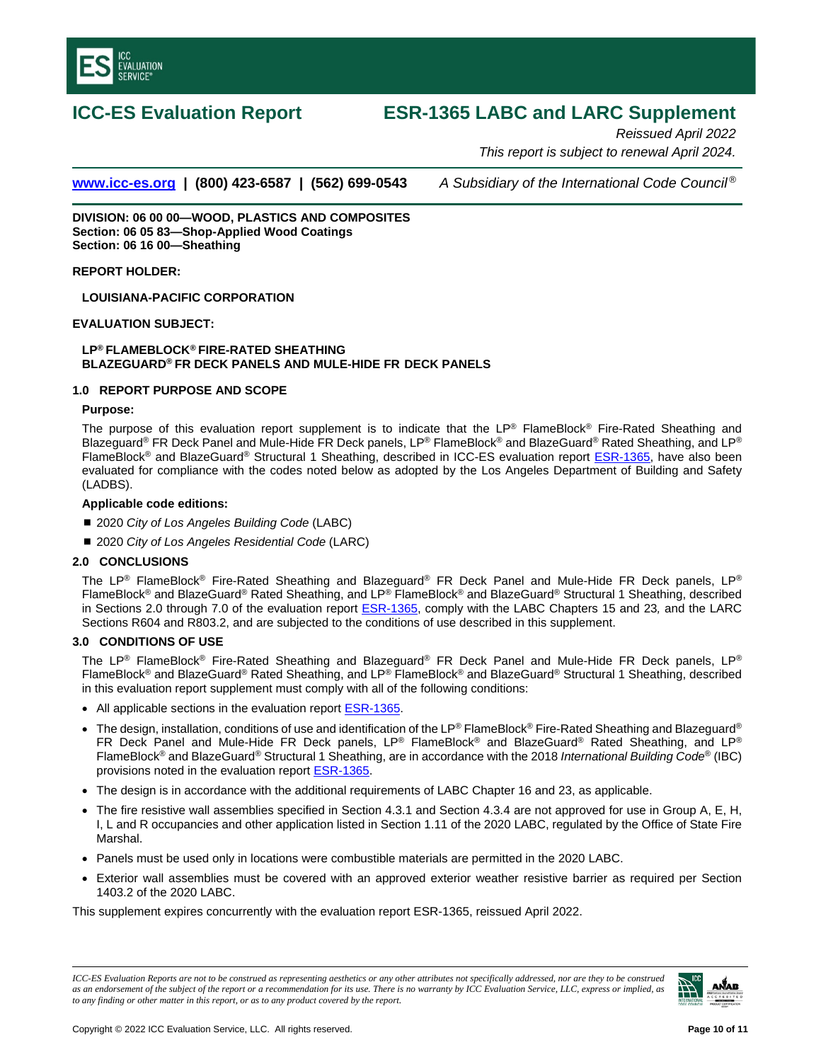<span id="page-9-0"></span>

# **ICC-ES Evaluation Report ESR-1365 LABC and LARC Supplement**

*Reissued April 2022 This report is subject to renewal April 2024.*

**[www.icc-es.org](http://www.icc-es.org/) | (800) 423-6587 | (562) 699-0543** *A Subsidiary of the International Code Council ®*

**DIVISION: 06 00 00—WOOD, PLASTICS AND COMPOSITES Section: 06 05 83—Shop-Applied Wood Coatings Section: 06 16 00—Sheathing**

**REPORT HOLDER:**

**LOUISIANA-PACIFIC CORPORATION**

# **EVALUATION SUBJECT:**

## **LP® FLAMEBLOCK® FIRE-RATED SHEATHING BLAZEGUARD® FR DECK PANELS AND MULE-HIDE FR DECK PANELS**

# **1.0 REPORT PURPOSE AND SCOPE**

## **Purpose:**

The purpose of this evaluation report supplement is to indicate that the LP® FlameBlock® Fire-Rated Sheathing and Blazeguard® FR Deck Panel and Mule-Hide FR Deck panels, LP® FlameBlock® and BlazeGuard® Rated Sheathing, and LP® FlameBlock<sup>®</sup> and BlazeGuard<sup>®</sup> Structural 1 Sheathing, described in ICC-ES evaluation report [ESR-1365](https://icc-es.org/report-listing/esr-1365/)[, h](#page-0-0)ave also been evaluated for compliance with the codes noted below as adopted by the Los Angeles Department of Building and Safety (LADBS).

## **Applicable code editions:**

- 2020 *City of Los Angeles Building Code* (LABC)
- 2020 *City of Los Angeles Residential Code* (LARC)

## **2.0 CONCLUSIONS**

The LP® FlameBlock® Fire-Rated Sheathing and Blazeguard® FR Deck Panel and Mule-Hide FR Deck panels, LP® FlameBlock<sup>®</sup> and BlazeGuard<sup>®</sup> Rated Sheathing, and LP<sup>®</sup> FlameBlock® and BlazeGuard® Structural 1 Sheathing, described in Sections 2.0 through 7.0 of the evaluation report[ESR-1365,](#page-0-0) comply with the LABC Chapters 15 and 23*,* and the LARC Sections R604 and R803.2, and are subjected to the conditions of use described in this supplement.

# **3.0 CONDITIONS OF USE**

The LP® FlameBlock® Fire-Rated Sheathing and Blazeguard® FR Deck Panel and Mule-Hide FR Deck panels, LP® FlameBlock® and BlazeGuard® Rated Sheathing, and LP® FlameBlock® and BlazeGuard® Structural 1 Sheathing, described in this evaluation report supplement must comply with all of the following conditions:

- All applicable sections in the evaluation report [ESR-1365](https://icc-es.org/report-listing/esr-1365/)[.](#page-0-0)
- The design, installation, conditions of use and identification of the LP® FlameBlock® Fire-Rated Sheathing and Blazeguard® FR Deck Panel and Mule-Hide FR Deck panels, LP® FlameBlock® and BlazeGuard® Rated Sheathing, and LP® FlameBlock® and BlazeGuard® Structural 1 Sheathing, are in accordance with the 2018 *International Building Code*® (IBC) provisions noted in the evaluation report [ESR-1365](https://icc-es.org/report-listing/esr-1365/)[.](#page-0-0)
- The design is in accordance with the additional requirements of LABC Chapter 16 and 23, as applicable.
- The fire resistive wall assemblies specified in Section 4.3.1 and Section 4.3.4 are not approved for use in Group A, E, H, I, L and R occupancies and other application listed in Section 1.11 of the 2020 LABC, regulated by the Office of State Fire Marshal.
- Panels must be used only in locations were combustible materials are permitted in the 2020 LABC.
- Exterior wall assemblies must be covered with an approved exterior weather resistive barrier as required per Section 1403.2 of the 2020 LABC.

This supplement expires concurrently with the evaluation report ESR-1365, reissued April 2022.

*ICC-ES Evaluation Reports are not to be construed as representing aesthetics or any other attributes not specifically addressed, nor are they to be construed as an endorsement of the subject of the report or a recommendation for its use. There is no warranty by ICC Evaluation Service, LLC, express or implied, as to any finding or other matter in this report, or as to any product covered by the report.*